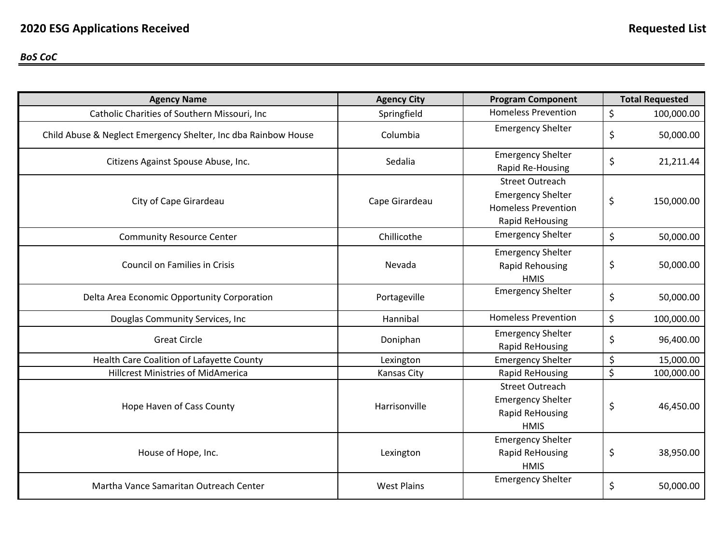#### *BoS CoC*

| <b>Agency Name</b>                                             | <b>Agency City</b> | <b>Program Component</b>                                                                                   |         | <b>Total Requested</b> |
|----------------------------------------------------------------|--------------------|------------------------------------------------------------------------------------------------------------|---------|------------------------|
| Catholic Charities of Southern Missouri, Inc                   | Springfield        | <b>Homeless Prevention</b>                                                                                 | $\zeta$ | 100,000.00             |
| Child Abuse & Neglect Emergency Shelter, Inc dba Rainbow House | Columbia           | <b>Emergency Shelter</b>                                                                                   | \$      | 50,000.00              |
| Citizens Against Spouse Abuse, Inc.                            | Sedalia            | <b>Emergency Shelter</b><br>Rapid Re-Housing                                                               | \$      | 21,211.44              |
| City of Cape Girardeau                                         | Cape Girardeau     | <b>Street Outreach</b><br><b>Emergency Shelter</b><br><b>Homeless Prevention</b><br><b>Rapid ReHousing</b> | \$      | 150,000.00             |
| <b>Community Resource Center</b>                               | Chillicothe        | <b>Emergency Shelter</b>                                                                                   | \$      | 50,000.00              |
| <b>Council on Families in Crisis</b>                           | Nevada             | <b>Emergency Shelter</b><br><b>Rapid Rehousing</b><br><b>HMIS</b>                                          | \$      | 50,000.00              |
| Delta Area Economic Opportunity Corporation                    | Portageville       | <b>Emergency Shelter</b>                                                                                   | \$      | 50,000.00              |
| Douglas Community Services, Inc                                | Hannibal           | <b>Homeless Prevention</b>                                                                                 | \$      | 100,000.00             |
| <b>Great Circle</b>                                            | Doniphan           | <b>Emergency Shelter</b><br><b>Rapid ReHousing</b>                                                         | \$      | 96,400.00              |
| Health Care Coalition of Lafayette County                      | Lexington          | <b>Emergency Shelter</b>                                                                                   | \$      | 15,000.00              |
| <b>Hillcrest Ministries of MidAmerica</b>                      | <b>Kansas City</b> | Rapid ReHousing                                                                                            | \$      | 100,000.00             |
| Hope Haven of Cass County                                      | Harrisonville      | <b>Street Outreach</b><br><b>Emergency Shelter</b><br><b>Rapid ReHousing</b><br><b>HMIS</b>                | \$      | 46,450.00              |
| House of Hope, Inc.                                            | Lexington          | <b>Emergency Shelter</b><br><b>Rapid ReHousing</b><br><b>HMIS</b>                                          | \$      | 38,950.00              |
| Martha Vance Samaritan Outreach Center                         | <b>West Plains</b> | <b>Emergency Shelter</b>                                                                                   | \$      | 50,000.00              |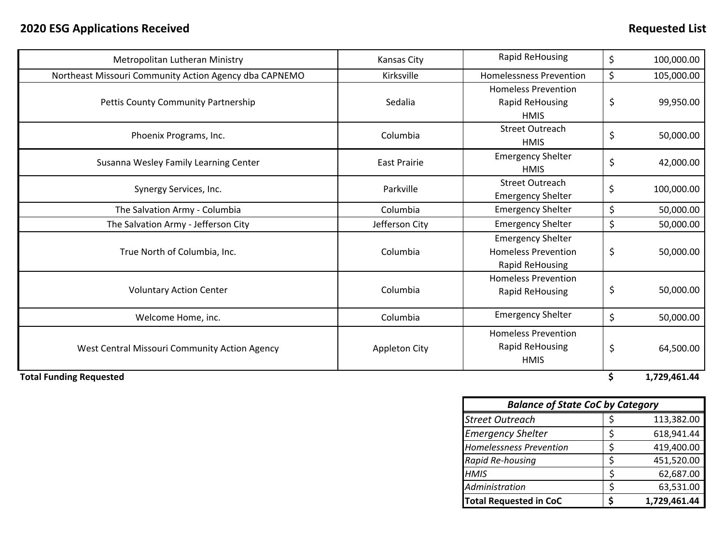| Metropolitan Lutheran Ministry                         | Kansas City          | Rapid ReHousing                                                           | \$ | 100,000.00 |
|--------------------------------------------------------|----------------------|---------------------------------------------------------------------------|----|------------|
| Northeast Missouri Community Action Agency dba CAPNEMO | Kirksville           | \$<br><b>Homelessness Prevention</b>                                      |    | 105,000.00 |
| Pettis County Community Partnership                    | Sedalia              | <b>Homeless Prevention</b><br>Rapid ReHousing<br><b>HMIS</b>              |    | 99,950.00  |
| Phoenix Programs, Inc.                                 | Columbia             | <b>Street Outreach</b><br><b>HMIS</b>                                     | \$ | 50,000.00  |
| Susanna Wesley Family Learning Center                  | <b>East Prairie</b>  | <b>Emergency Shelter</b><br><b>HMIS</b>                                   | \$ | 42,000.00  |
| Synergy Services, Inc.                                 | Parkville            | <b>Street Outreach</b><br><b>Emergency Shelter</b>                        | \$ | 100,000.00 |
| The Salvation Army - Columbia                          | Columbia             | <b>Emergency Shelter</b>                                                  | \$ | 50,000.00  |
| The Salvation Army - Jefferson City                    | Jefferson City       | <b>Emergency Shelter</b>                                                  | \$ | 50,000.00  |
| True North of Columbia, Inc.                           | Columbia             | <b>Emergency Shelter</b><br><b>Homeless Prevention</b><br>Rapid ReHousing | \$ | 50,000.00  |
| <b>Voluntary Action Center</b>                         | Columbia             | <b>Homeless Prevention</b><br>Rapid ReHousing                             | \$ | 50,000.00  |
| Welcome Home, inc.                                     | Columbia             | <b>Emergency Shelter</b>                                                  | \$ | 50,000.00  |
| West Central Missouri Community Action Agency          | <b>Appleton City</b> | <b>Homeless Prevention</b><br>Rapid ReHousing<br><b>HMIS</b>              | \$ | 64,500.00  |

**Total Funding Requested \$ 1,729,461.44**

| <b>Balance of State CoC by Category</b> |   |              |  |  |  |
|-----------------------------------------|---|--------------|--|--|--|
| <b>Street Outreach</b>                  |   | 113,382.00   |  |  |  |
| <b>Emergency Shelter</b>                | S | 618,941.44   |  |  |  |
| <b>Homelessness Prevention</b>          | ς | 419,400.00   |  |  |  |
| Rapid Re-housing                        | ς | 451,520.00   |  |  |  |
| <b>HMIS</b>                             | ς | 62,687.00    |  |  |  |
| Administration                          |   | 63,531.00    |  |  |  |
| <b>Total Requested in CoC</b>           |   | 1,729,461.44 |  |  |  |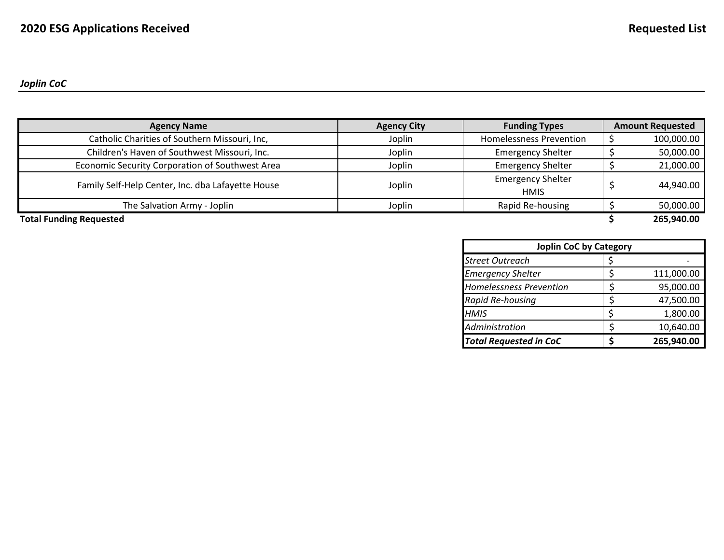# *Joplin CoC*

| <b>Agency Name</b>                                | <b>Agency City</b> | <b>Funding Types</b>                    | <b>Amount Requested</b> |
|---------------------------------------------------|--------------------|-----------------------------------------|-------------------------|
| Catholic Charities of Southern Missouri, Inc,     | Joplin             | <b>Homelessness Prevention</b>          | 100,000.00              |
| Children's Haven of Southwest Missouri, Inc.      | Joplin             | <b>Emergency Shelter</b>                | 50,000.00               |
| Economic Security Corporation of Southwest Area   | Joplin             | <b>Emergency Shelter</b>                | 21,000.00               |
| Family Self-Help Center, Inc. dba Lafayette House | Joplin             | <b>Emergency Shelter</b><br><b>HMIS</b> | 44,940.00               |
| The Salvation Army - Joplin                       | Joplin             | Rapid Re-housing                        | 50,000.00               |
| <b>Total Funding Requested</b>                    |                    |                                         | 265,940.00              |

| <b>Joplin CoC by Category</b>  |  |            |  |  |  |
|--------------------------------|--|------------|--|--|--|
| <b>Street Outreach</b>         |  |            |  |  |  |
| <b>Emergency Shelter</b>       |  | 111,000.00 |  |  |  |
| <b>Homelessness Prevention</b> |  | 95,000.00  |  |  |  |
| Rapid Re-housing               |  | 47,500.00  |  |  |  |
| <b>HMIS</b>                    |  | 1,800.00   |  |  |  |
| Administration                 |  | 10,640.00  |  |  |  |
| <b>Total Requested in CoC</b>  |  | 265,940.00 |  |  |  |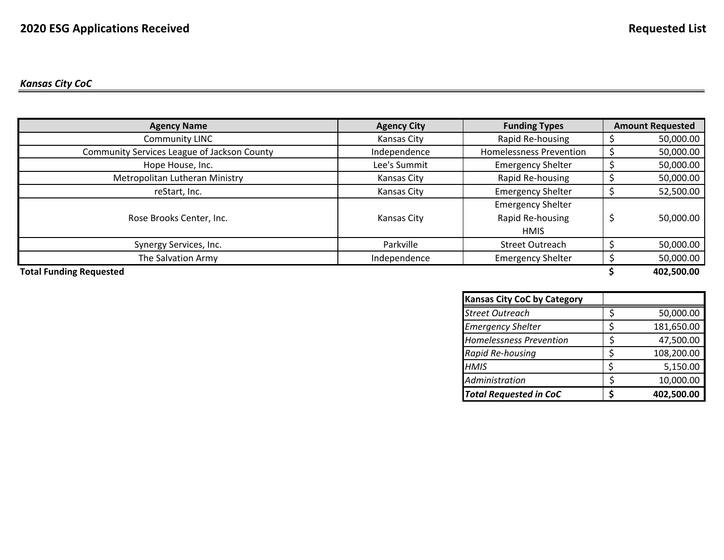# *Kansas City CoC*

| <b>Agency Name</b>                          | <b>Agency City</b> | <b>Funding Types</b>                                        | <b>Amount Requested</b> |
|---------------------------------------------|--------------------|-------------------------------------------------------------|-------------------------|
| <b>Community LINC</b>                       | Kansas City        | Rapid Re-housing                                            | 50,000.00               |
| Community Services League of Jackson County | Independence       | <b>Homelessness Prevention</b>                              | 50,000.00               |
| Hope House, Inc.                            | Lee's Summit       | <b>Emergency Shelter</b>                                    | 50,000.00               |
| Metropolitan Lutheran Ministry              | Kansas City        | Rapid Re-housing                                            | 50,000.00               |
| reStart, Inc.                               | Kansas City        | <b>Emergency Shelter</b>                                    | 52,500.00               |
| Rose Brooks Center, Inc.                    | Kansas City        | <b>Emergency Shelter</b><br>Rapid Re-housing<br><b>HMIS</b> | 50,000.00               |
| Synergy Services, Inc.                      | Parkville          | <b>Street Outreach</b>                                      | 50,000.00               |
| The Salvation Army                          | Independence       | <b>Emergency Shelter</b>                                    | 50,000.00               |
| <b>Total Funding Requested</b>              |                    |                                                             | 402,500.00              |

| <b>Kansas City CoC by Category</b> |            |
|------------------------------------|------------|
| <b>Street Outreach</b>             | 50,000.00  |
| <b>Emergency Shelter</b>           | 181,650.00 |
| <b>Homelessness Prevention</b>     | 47,500.00  |
| Rapid Re-housing                   | 108,200.00 |
| <b>HMIS</b>                        | 5,150.00   |
| Administration                     | 10,000.00  |
| <b>Total Requested in CoC</b>      | 402,500.00 |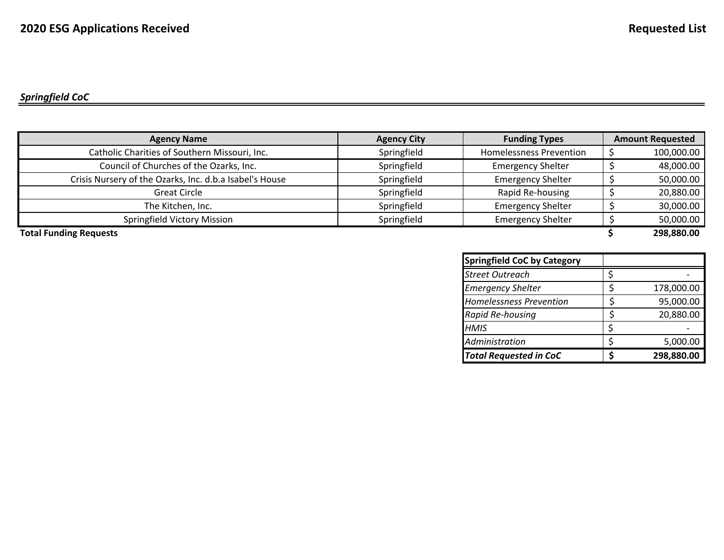| <b>Agency Name</b>                                      | <b>Agency City</b> | <b>Funding Types</b>           | <b>Amount Requested</b> |
|---------------------------------------------------------|--------------------|--------------------------------|-------------------------|
| Catholic Charities of Southern Missouri, Inc.           | Springfield        | <b>Homelessness Prevention</b> | 100,000.00              |
| Council of Churches of the Ozarks, Inc.                 | Springfield        | <b>Emergency Shelter</b>       | 48,000.00               |
| Crisis Nursery of the Ozarks, Inc. d.b.a Isabel's House | Springfield        | <b>Emergency Shelter</b>       | 50,000.00               |
| <b>Great Circle</b>                                     | Springfield        | Rapid Re-housing               | 20,880.00               |
| The Kitchen, Inc.                                       | Springfield        | <b>Emergency Shelter</b>       | 30,000.00               |
| <b>Springfield Victory Mission</b>                      | Springfield        | <b>Emergency Shelter</b>       | 50,000.00               |
| <b>Total Funding Requests</b>                           |                    |                                | 298,880.00              |

**Springfield CoC by Category** *Street Outreach*h  $\vert \xi \vert$ *Emergency Shelter* **178,000.00** *Homelessness Prevention* \$ 95,000.00 *Rapid Re‐housing* \$ 20,880.00 *HMIS* $S \qquad \qquad \vert \xi \vert \qquad \qquad$ *Administration* $$,000.00$ *Total Requested in CoC* **\$ 298,880.00**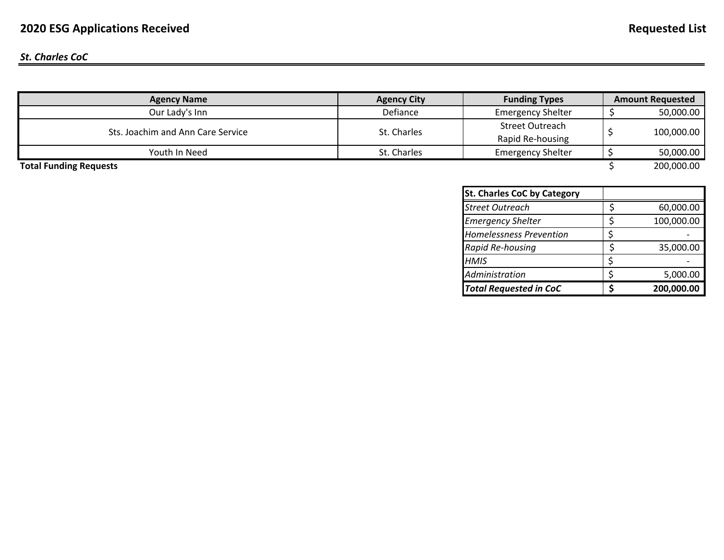## *St. Charles CoC*

| <b>Agency Name</b>                | <b>Agency City</b> | <b>Funding Types</b>     | <b>Amount Requested</b> |
|-----------------------------------|--------------------|--------------------------|-------------------------|
| Our Lady's Inn                    | Defiance           | <b>Emergency Shelter</b> | 50,000.00               |
| Sts. Joachim and Ann Care Service | St. Charles        | Street Outreach          | 100,000.00              |
|                                   |                    | Rapid Re-housing         |                         |
| Youth In Need                     | St. Charles        | <b>Emergency Shelter</b> | 50,000.00               |
| <b>Total Funding Requests</b>     |                    |                          | 200,000.00              |

| <b>St. Charles CoC by Category</b> |            |
|------------------------------------|------------|
| <b>Street Outreach</b>             | 60,000.00  |
| <b>Emergency Shelter</b>           | 100,000.00 |
| <b>Homelessness Prevention</b>     |            |
| Rapid Re-housing                   | 35,000.00  |
| <b>HMIS</b>                        |            |
| Administration                     | 5,000.00   |
| <b>Total Requested in CoC</b>      | 200,000.00 |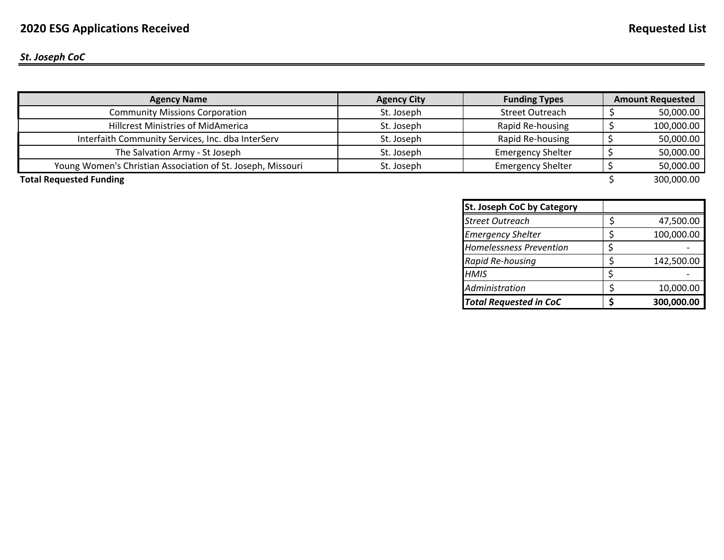#### *St. Joseph CoC*

| <b>Agency Name</b>                                          | <b>Agency City</b> | <b>Funding Types</b>     | <b>Amount Requested</b> |
|-------------------------------------------------------------|--------------------|--------------------------|-------------------------|
| <b>Community Missions Corporation</b>                       | St. Joseph         | <b>Street Outreach</b>   | 50,000.00               |
| <b>Hillcrest Ministries of MidAmerica</b>                   | St. Joseph         | Rapid Re-housing         | 100,000.00              |
| Interfaith Community Services, Inc. dba InterServ           | St. Joseph         | Rapid Re-housing         | 50,000.00               |
| The Salvation Army - St Joseph                              | St. Joseph         | <b>Emergency Shelter</b> | 50,000.00               |
| Young Women's Christian Association of St. Joseph, Missouri | St. Joseph         | <b>Emergency Shelter</b> | 50,000.00               |
| <b>Total Requested Funding</b>                              |                    |                          | 300,000.00              |

| <b>St. Joseph CoC by Category</b> |            |
|-----------------------------------|------------|
| <b>Street Outreach</b>            | 47,500.00  |
| <b>Emergency Shelter</b>          | 100,000.00 |
| <b>Homelessness Prevention</b>    |            |
| Rapid Re-housing                  | 142,500.00 |
| <b>HMIS</b>                       |            |
| Administration                    | 10,000.00  |
| <b>Total Requested in CoC</b>     | 300,000.00 |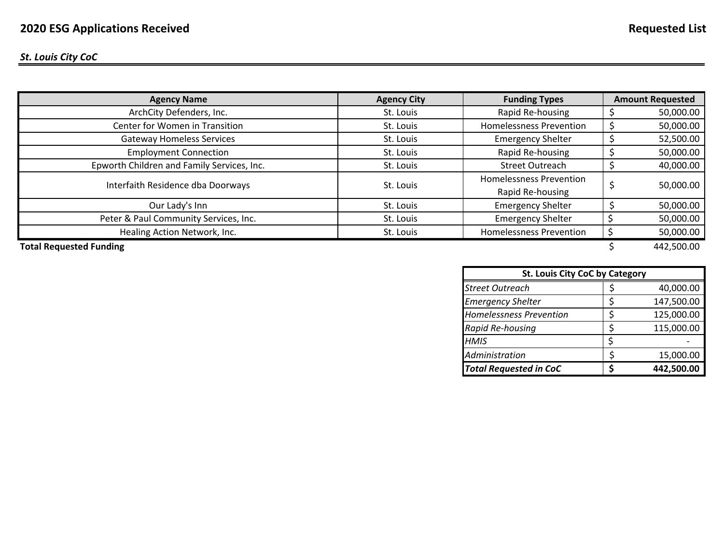*St. Louis City CoC*

| ArchCity Defenders, Inc.<br>Rapid Re-housing<br>St. Louis<br>Center for Women in Transition<br><b>Homelessness Prevention</b><br>St. Louis<br><b>Gateway Homeless Services</b><br><b>Emergency Shelter</b><br>St. Louis<br><b>Employment Connection</b><br>Rapid Re-housing<br>St. Louis<br>Epworth Children and Family Services, Inc.<br><b>Street Outreach</b><br>St. Louis | <b>Agency Name</b>                | <b>Agency City</b> | <b>Funding Types</b>           | <b>Amount Requested</b> |  |
|-------------------------------------------------------------------------------------------------------------------------------------------------------------------------------------------------------------------------------------------------------------------------------------------------------------------------------------------------------------------------------|-----------------------------------|--------------------|--------------------------------|-------------------------|--|
|                                                                                                                                                                                                                                                                                                                                                                               |                                   |                    |                                | 50,000.00               |  |
|                                                                                                                                                                                                                                                                                                                                                                               |                                   |                    |                                | 50,000.00               |  |
|                                                                                                                                                                                                                                                                                                                                                                               |                                   |                    |                                | 52,500.00               |  |
|                                                                                                                                                                                                                                                                                                                                                                               |                                   |                    |                                | 50,000.00               |  |
|                                                                                                                                                                                                                                                                                                                                                                               |                                   |                    |                                | 40,000.00               |  |
| St. Louis                                                                                                                                                                                                                                                                                                                                                                     | Interfaith Residence dba Doorways |                    | <b>Homelessness Prevention</b> | 50,000.00               |  |
| Rapid Re-housing                                                                                                                                                                                                                                                                                                                                                              |                                   |                    |                                |                         |  |
| Our Lady's Inn<br><b>Emergency Shelter</b><br>St. Louis                                                                                                                                                                                                                                                                                                                       |                                   |                    |                                | 50,000.00               |  |
| Peter & Paul Community Services, Inc.<br><b>Emergency Shelter</b><br>St. Louis                                                                                                                                                                                                                                                                                                |                                   |                    |                                | 50,000.00               |  |
| Healing Action Network, Inc.<br><b>Homelessness Prevention</b><br>St. Louis                                                                                                                                                                                                                                                                                                   |                                   |                    |                                | 50,000.00               |  |

**Total Requested Funding** \$ 442,500.00

| <b>St. Louis City CoC by Category</b> |  |            |  |  |  |  |
|---------------------------------------|--|------------|--|--|--|--|
| <b>Street Outreach</b>                |  | 40,000.00  |  |  |  |  |
| <b>Emergency Shelter</b>              |  | 147,500.00 |  |  |  |  |
| <b>Homelessness Prevention</b>        |  | 125,000.00 |  |  |  |  |
| Rapid Re-housing                      |  | 115,000.00 |  |  |  |  |
| <b>HMIS</b>                           |  |            |  |  |  |  |
| Administration                        |  | 15,000.00  |  |  |  |  |
| <b>Total Requested in CoC</b>         |  | 442,500.00 |  |  |  |  |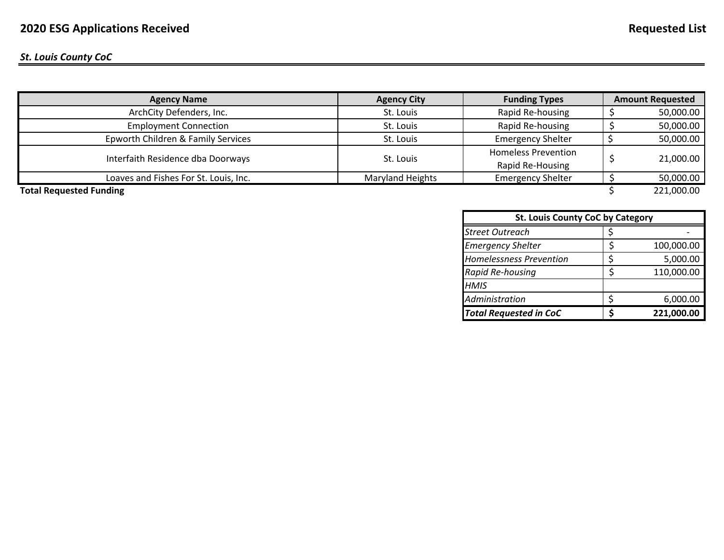#### *St. Louis County CoC*

| <b>Agency Name</b>                    | <b>Agency City</b> | <b>Funding Types</b>       | <b>Amount Requested</b> |  |
|---------------------------------------|--------------------|----------------------------|-------------------------|--|
| ArchCity Defenders, Inc.              | St. Louis          | Rapid Re-housing           | 50,000.00               |  |
| <b>Employment Connection</b>          | St. Louis          | Rapid Re-housing           | 50,000.00               |  |
| Epworth Children & Family Services    | St. Louis          | <b>Emergency Shelter</b>   | 50,000.00               |  |
|                                       |                    | <b>Homeless Prevention</b> |                         |  |
| Interfaith Residence dba Doorways     | St. Louis          | Rapid Re-Housing           | 21,000.00               |  |
| Loaves and Fishes For St. Louis, Inc. | Maryland Heights   | <b>Emergency Shelter</b>   | 50,000.00               |  |
| <b>Total Requested Funding</b>        |                    |                            | 221,000.00              |  |

*Street Outreach*h  $\vert \xi \vert$ *Emergency Shelter* \$ 100,000.00 *Homelessness Prevention* $\frac{1}{5}$  5,000.00 *Rapid Re‐housing* \$ 110,000.00 *HMISAdministration* \$ 6,000.00 *Total Requested in CoC* **\$ 221,000.00 St. Louis County CoC by Category**